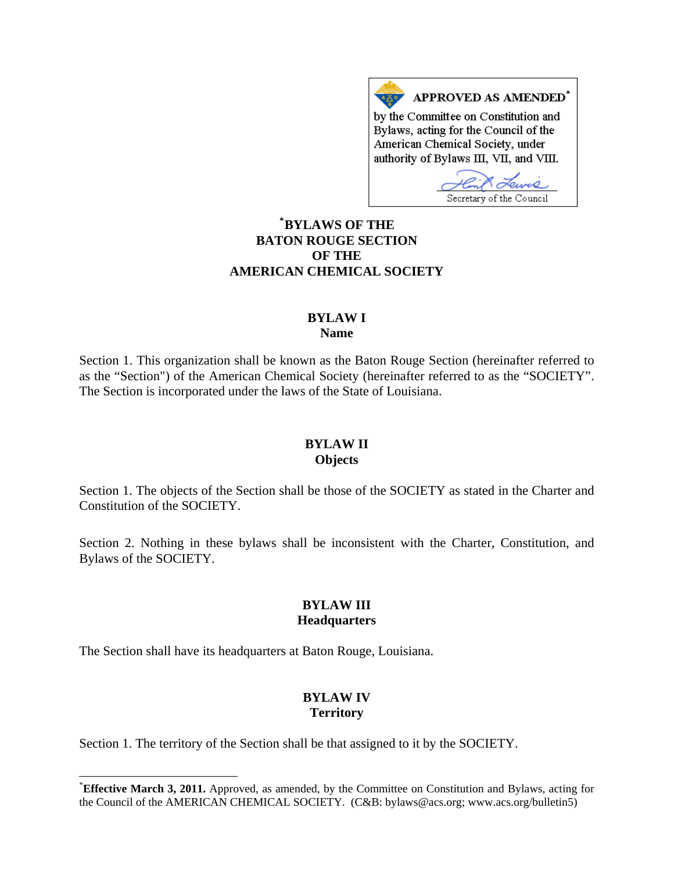APPROVED AS AMENDED<sup>\*</sup> by the Committee on Constitution and Bylaws, acting for the Council of the American Chemical Society, under authority of Bylaws III, VII, and VIII.

Lewis Secretary of the Council

# **\* [BYLAWS OF THE](#page-0-0)  BATON ROUGE SECTION OF THE AMERICAN CHEMICAL SOCIETY**

#### **BYLAW I Name**

Section 1. This organization shall be known as the Baton Rouge Section (hereinafter referred to as the "Section") of the American Chemical Society (hereinafter referred to as the "SOCIETY". The Section is incorporated under the laws of the State of Louisiana.

#### **BYLAW II Objects**

Section 1. The objects of the Section shall be those of the SOCIETY as stated in the Charter and Constitution of the SOCIETY.

Section 2. Nothing in these bylaws shall be inconsistent with the Charter, Constitution, and Bylaws of the SOCIETY.

#### **BYLAW III Headquarters**

The Section shall have its headquarters at Baton Rouge, Louisiana.

 $\overline{\phantom{a}}$ 

## **BYLAW IV Territory**

Section 1. The territory of the Section shall be that assigned to it by the SOCIETY.

<span id="page-0-0"></span><sup>\*</sup> **Effective March 3, 2011.** Approved, as amended, by the Committee on Constitution and Bylaws, acting for the Council of the AMERICAN CHEMICAL SOCIETY. (C&B: bylaws@acs.org; www.acs.org/bulletin5)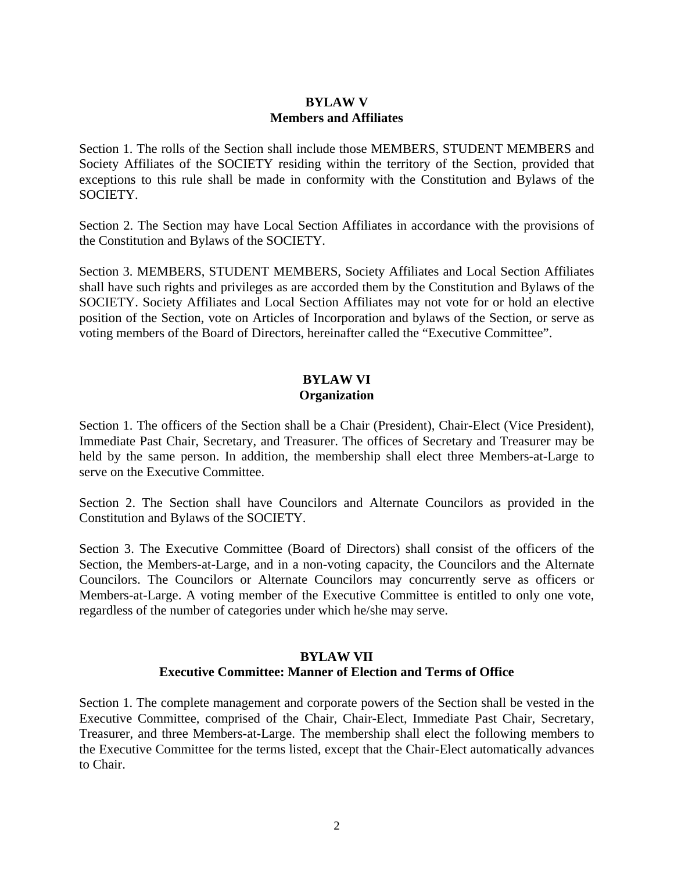#### **BYLAW V Members and Affiliates**

Section 1. The rolls of the Section shall include those MEMBERS, STUDENT MEMBERS and Society Affiliates of the SOCIETY residing within the territory of the Section, provided that exceptions to this rule shall be made in conformity with the Constitution and Bylaws of the SOCIETY.

Section 2. The Section may have Local Section Affiliates in accordance with the provisions of the Constitution and Bylaws of the SOCIETY.

Section 3. MEMBERS, STUDENT MEMBERS, Society Affiliates and Local Section Affiliates shall have such rights and privileges as are accorded them by the Constitution and Bylaws of the SOCIETY. Society Affiliates and Local Section Affiliates may not vote for or hold an elective position of the Section, vote on Articles of Incorporation and bylaws of the Section, or serve as voting members of the Board of Directors, hereinafter called the "Executive Committee".

#### **BYLAW VI Organization**

Section 1. The officers of the Section shall be a Chair (President), Chair-Elect (Vice President), Immediate Past Chair, Secretary, and Treasurer. The offices of Secretary and Treasurer may be held by the same person. In addition, the membership shall elect three Members-at-Large to serve on the Executive Committee.

Section 2. The Section shall have Councilors and Alternate Councilors as provided in the Constitution and Bylaws of the SOCIETY.

Section 3. The Executive Committee (Board of Directors) shall consist of the officers of the Section, the Members-at-Large, and in a non-voting capacity, the Councilors and the Alternate Councilors. The Councilors or Alternate Councilors may concurrently serve as officers or Members-at-Large. A voting member of the Executive Committee is entitled to only one vote, regardless of the number of categories under which he/she may serve.

#### **BYLAW VII Executive Committee: Manner of Election and Terms of Office**

Section 1. The complete management and corporate powers of the Section shall be vested in the Executive Committee, comprised of the Chair, Chair-Elect, Immediate Past Chair, Secretary, Treasurer, and three Members-at-Large. The membership shall elect the following members to the Executive Committee for the terms listed, except that the Chair-Elect automatically advances to Chair.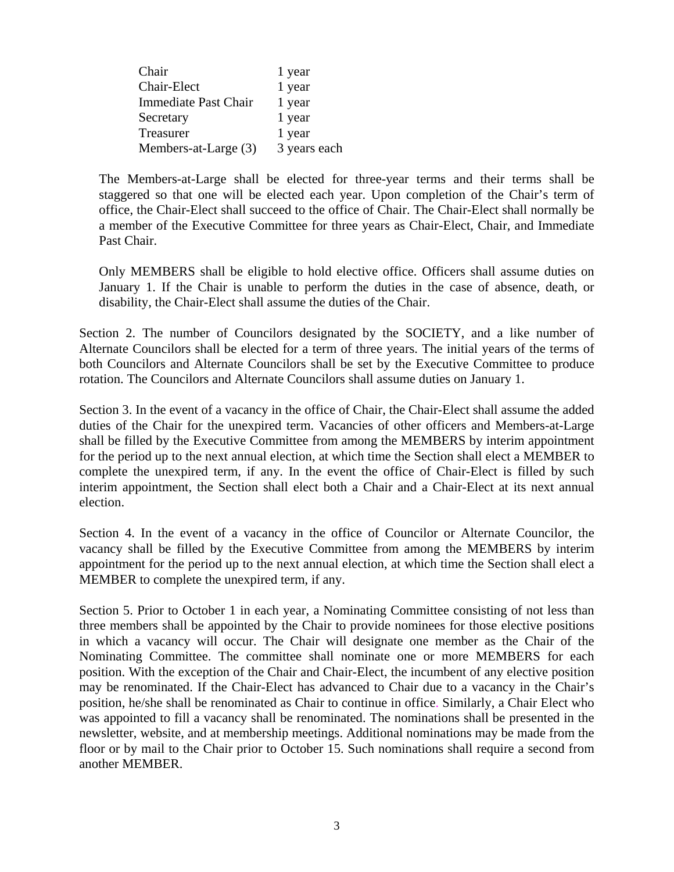| Chair                       | 1 year       |
|-----------------------------|--------------|
| Chair-Elect                 | 1 year       |
| <b>Immediate Past Chair</b> | 1 year       |
| Secretary                   | 1 year       |
| Treasurer                   | 1 year       |
| Members-at-Large (3)        | 3 years each |

The Members-at-Large shall be elected for three-year terms and their terms shall be staggered so that one will be elected each year. Upon completion of the Chair's term of office, the Chair-Elect shall succeed to the office of Chair. The Chair-Elect shall normally be a member of the Executive Committee for three years as Chair-Elect, Chair, and Immediate Past Chair.

Only MEMBERS shall be eligible to hold elective office. Officers shall assume duties on January 1. If the Chair is unable to perform the duties in the case of absence, death, or disability, the Chair-Elect shall assume the duties of the Chair.

Section 2. The number of Councilors designated by the SOCIETY, and a like number of Alternate Councilors shall be elected for a term of three years. The initial years of the terms of both Councilors and Alternate Councilors shall be set by the Executive Committee to produce rotation. The Councilors and Alternate Councilors shall assume duties on January 1.

Section 3. In the event of a vacancy in the office of Chair, the Chair-Elect shall assume the added duties of the Chair for the unexpired term. Vacancies of other officers and Members-at-Large shall be filled by the Executive Committee from among the MEMBERS by interim appointment for the period up to the next annual election, at which time the Section shall elect a MEMBER to complete the unexpired term, if any. In the event the office of Chair-Elect is filled by such interim appointment, the Section shall elect both a Chair and a Chair-Elect at its next annual election.

Section 4. In the event of a vacancy in the office of Councilor or Alternate Councilor, the vacancy shall be filled by the Executive Committee from among the MEMBERS by interim appointment for the period up to the next annual election, at which time the Section shall elect a MEMBER to complete the unexpired term, if any.

Section 5. Prior to October 1 in each year, a Nominating Committee consisting of not less than three members shall be appointed by the Chair to provide nominees for those elective positions in which a vacancy will occur. The Chair will designate one member as the Chair of the Nominating Committee. The committee shall nominate one or more MEMBERS for each position. With the exception of the Chair and Chair-Elect, the incumbent of any elective position may be renominated. If the Chair-Elect has advanced to Chair due to a vacancy in the Chair's position, he/she shall be renominated as Chair to continue in office. Similarly, a Chair Elect who was appointed to fill a vacancy shall be renominated. The nominations shall be presented in the newsletter, website, and at membership meetings. Additional nominations may be made from the floor or by mail to the Chair prior to October 15. Such nominations shall require a second from another MEMBER.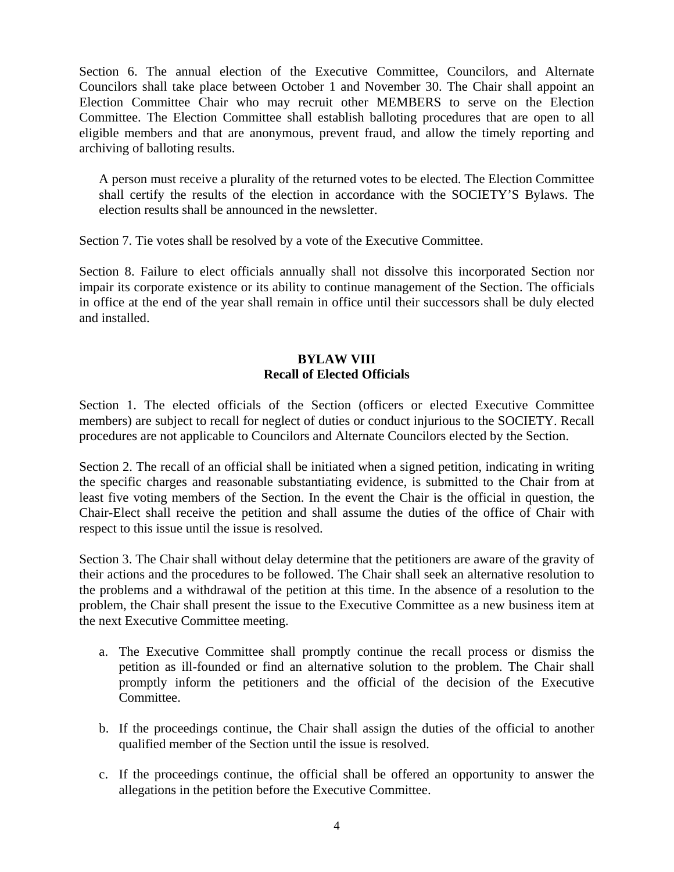Section 6. The annual election of the Executive Committee, Councilors, and Alternate Councilors shall take place between October 1 and November 30. The Chair shall appoint an Election Committee Chair who may recruit other MEMBERS to serve on the Election Committee. The Election Committee shall establish balloting procedures that are open to all eligible members and that are anonymous, prevent fraud, and allow the timely reporting and archiving of balloting results.

A person must receive a plurality of the returned votes to be elected. The Election Committee shall certify the results of the election in accordance with the SOCIETY'S Bylaws. The election results shall be announced in the newsletter.

Section 7. Tie votes shall be resolved by a vote of the Executive Committee.

Section 8. Failure to elect officials annually shall not dissolve this incorporated Section nor impair its corporate existence or its ability to continue management of the Section. The officials in office at the end of the year shall remain in office until their successors shall be duly elected and installed.

## **BYLAW VIII Recall of Elected Officials**

Section 1. The elected officials of the Section (officers or elected Executive Committee members) are subject to recall for neglect of duties or conduct injurious to the SOCIETY. Recall procedures are not applicable to Councilors and Alternate Councilors elected by the Section.

Section 2. The recall of an official shall be initiated when a signed petition, indicating in writing the specific charges and reasonable substantiating evidence, is submitted to the Chair from at least five voting members of the Section. In the event the Chair is the official in question, the Chair-Elect shall receive the petition and shall assume the duties of the office of Chair with respect to this issue until the issue is resolved.

Section 3. The Chair shall without delay determine that the petitioners are aware of the gravity of their actions and the procedures to be followed. The Chair shall seek an alternative resolution to the problems and a withdrawal of the petition at this time. In the absence of a resolution to the problem, the Chair shall present the issue to the Executive Committee as a new business item at the next Executive Committee meeting.

- a. The Executive Committee shall promptly continue the recall process or dismiss the petition as ill-founded or find an alternative solution to the problem. The Chair shall promptly inform the petitioners and the official of the decision of the Executive Committee.
- b. If the proceedings continue, the Chair shall assign the duties of the official to another qualified member of the Section until the issue is resolved.
- c. If the proceedings continue, the official shall be offered an opportunity to answer the allegations in the petition before the Executive Committee.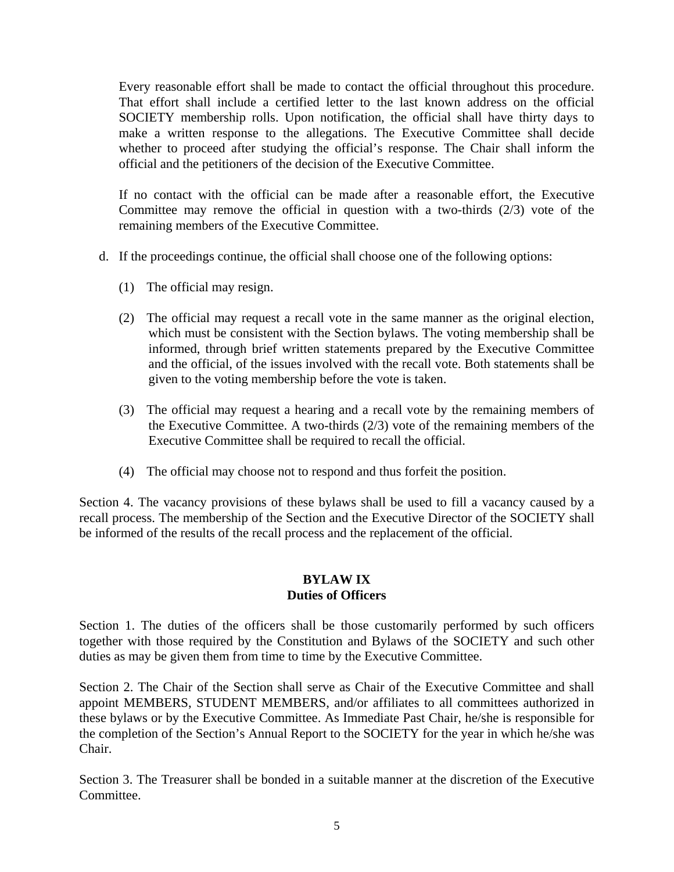Every reasonable effort shall be made to contact the official throughout this procedure. That effort shall include a certified letter to the last known address on the official SOCIETY membership rolls. Upon notification, the official shall have thirty days to make a written response to the allegations. The Executive Committee shall decide whether to proceed after studying the official's response. The Chair shall inform the official and the petitioners of the decision of the Executive Committee.

If no contact with the official can be made after a reasonable effort, the Executive Committee may remove the official in question with a two-thirds (2/3) vote of the remaining members of the Executive Committee.

- d. If the proceedings continue, the official shall choose one of the following options:
	- (1) The official may resign.
	- (2) The official may request a recall vote in the same manner as the original election, which must be consistent with the Section bylaws. The voting membership shall be informed, through brief written statements prepared by the Executive Committee and the official, of the issues involved with the recall vote. Both statements shall be given to the voting membership before the vote is taken.
	- (3) The official may request a hearing and a recall vote by the remaining members of the Executive Committee. A two-thirds (2/3) vote of the remaining members of the Executive Committee shall be required to recall the official.
	- (4) The official may choose not to respond and thus forfeit the position.

Section 4. The vacancy provisions of these bylaws shall be used to fill a vacancy caused by a recall process. The membership of the Section and the Executive Director of the SOCIETY shall be informed of the results of the recall process and the replacement of the official.

#### **BYLAW IX Duties of Officers**

Section 1. The duties of the officers shall be those customarily performed by such officers together with those required by the Constitution and Bylaws of the SOCIETY and such other duties as may be given them from time to time by the Executive Committee.

Section 2. The Chair of the Section shall serve as Chair of the Executive Committee and shall appoint MEMBERS, STUDENT MEMBERS, and/or affiliates to all committees authorized in these bylaws or by the Executive Committee. As Immediate Past Chair, he/she is responsible for the completion of the Section's Annual Report to the SOCIETY for the year in which he/she was Chair.

Section 3. The Treasurer shall be bonded in a suitable manner at the discretion of the Executive Committee.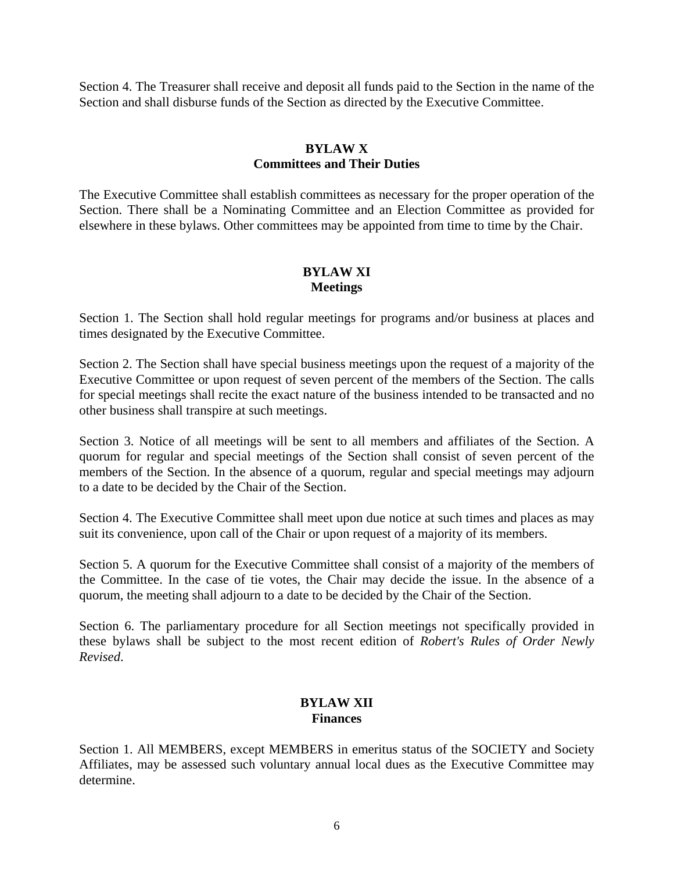Section 4. The Treasurer shall receive and deposit all funds paid to the Section in the name of the Section and shall disburse funds of the Section as directed by the Executive Committee.

## **BYLAW X Committees and Their Duties**

The Executive Committee shall establish committees as necessary for the proper operation of the Section. There shall be a Nominating Committee and an Election Committee as provided for elsewhere in these bylaws. Other committees may be appointed from time to time by the Chair.

## **BYLAW XI Meetings**

Section 1. The Section shall hold regular meetings for programs and/or business at places and times designated by the Executive Committee.

Section 2. The Section shall have special business meetings upon the request of a majority of the Executive Committee or upon request of seven percent of the members of the Section. The calls for special meetings shall recite the exact nature of the business intended to be transacted and no other business shall transpire at such meetings.

Section 3. Notice of all meetings will be sent to all members and affiliates of the Section. A quorum for regular and special meetings of the Section shall consist of seven percent of the members of the Section. In the absence of a quorum, regular and special meetings may adjourn to a date to be decided by the Chair of the Section.

Section 4. The Executive Committee shall meet upon due notice at such times and places as may suit its convenience, upon call of the Chair or upon request of a majority of its members.

Section 5. A quorum for the Executive Committee shall consist of a majority of the members of the Committee. In the case of tie votes, the Chair may decide the issue. In the absence of a quorum, the meeting shall adjourn to a date to be decided by the Chair of the Section.

Section 6. The parliamentary procedure for all Section meetings not specifically provided in these bylaws shall be subject to the most recent edition of *Robert's Rules of Order Newly Revised*.

## **BYLAW XII Finances**

Section 1. All MEMBERS, except MEMBERS in emeritus status of the SOCIETY and Society Affiliates, may be assessed such voluntary annual local dues as the Executive Committee may determine.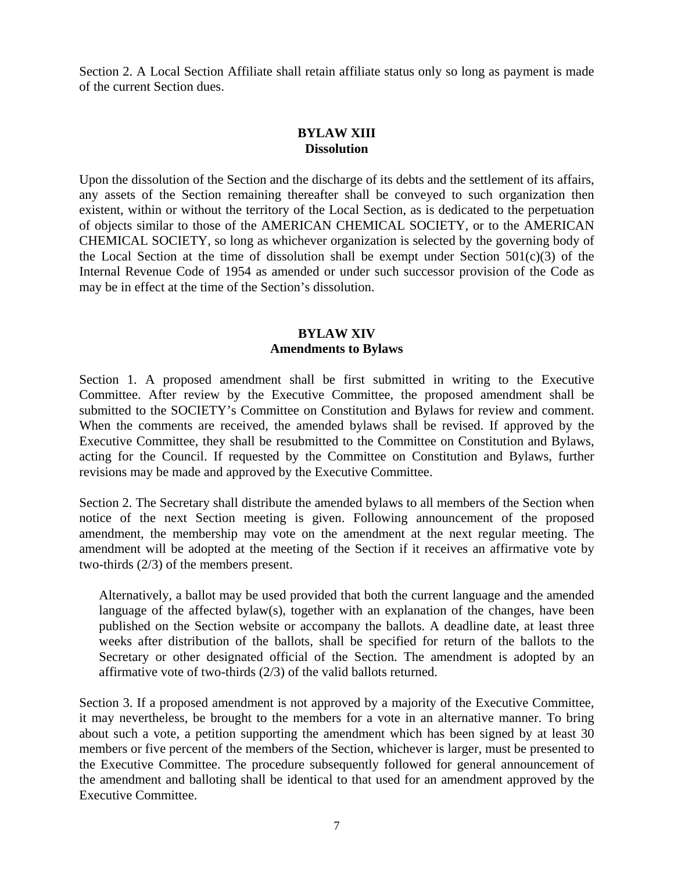Section 2. A Local Section Affiliate shall retain affiliate status only so long as payment is made of the current Section dues.

## **BYLAW XIII Dissolution**

Upon the dissolution of the Section and the discharge of its debts and the settlement of its affairs, any assets of the Section remaining thereafter shall be conveyed to such organization then existent, within or without the territory of the Local Section, as is dedicated to the perpetuation of objects similar to those of the AMERICAN CHEMICAL SOCIETY, or to the AMERICAN CHEMICAL SOCIETY, so long as whichever organization is selected by the governing body of the Local Section at the time of dissolution shall be exempt under Section  $501(c)(3)$  of the Internal Revenue Code of 1954 as amended or under such successor provision of the Code as may be in effect at the time of the Section's dissolution.

## **BYLAW XIV Amendments to Bylaws**

Section 1. A proposed amendment shall be first submitted in writing to the Executive Committee. After review by the Executive Committee, the proposed amendment shall be submitted to the SOCIETY's Committee on Constitution and Bylaws for review and comment. When the comments are received, the amended bylaws shall be revised. If approved by the Executive Committee, they shall be resubmitted to the Committee on Constitution and Bylaws, acting for the Council. If requested by the Committee on Constitution and Bylaws, further revisions may be made and approved by the Executive Committee.

Section 2. The Secretary shall distribute the amended bylaws to all members of the Section when notice of the next Section meeting is given. Following announcement of the proposed amendment, the membership may vote on the amendment at the next regular meeting. The amendment will be adopted at the meeting of the Section if it receives an affirmative vote by two-thirds (2/3) of the members present.

Alternatively, a ballot may be used provided that both the current language and the amended language of the affected bylaw(s), together with an explanation of the changes, have been published on the Section website or accompany the ballots. A deadline date, at least three weeks after distribution of the ballots, shall be specified for return of the ballots to the Secretary or other designated official of the Section. The amendment is adopted by an affirmative vote of two-thirds (2/3) of the valid ballots returned.

Section 3. If a proposed amendment is not approved by a majority of the Executive Committee, it may nevertheless, be brought to the members for a vote in an alternative manner. To bring about such a vote, a petition supporting the amendment which has been signed by at least 30 members or five percent of the members of the Section, whichever is larger, must be presented to the Executive Committee. The procedure subsequently followed for general announcement of the amendment and balloting shall be identical to that used for an amendment approved by the Executive Committee.